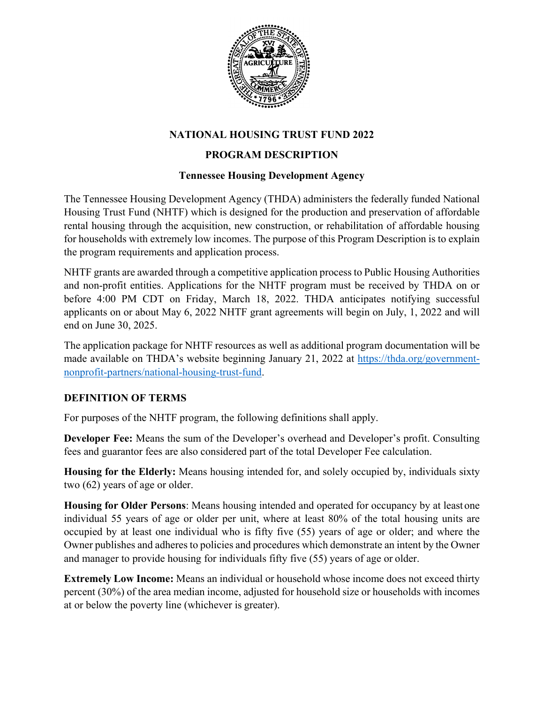

# **NATIONAL HOUSING TRUST FUND 2022**

## **PROGRAM DESCRIPTION**

#### **Tennessee Housing Development Agency**

The Tennessee Housing Development Agency (THDA) administers the federally funded National Housing Trust Fund (NHTF) which is designed for the production and preservation of affordable rental housing through the acquisition, new construction, or rehabilitation of affordable housing for households with extremely low incomes. The purpose of this Program Description is to explain the program requirements and application process.

NHTF grants are awarded through a competitive application process to Public Housing Authorities and non-profit entities. Applications for the NHTF program must be received by THDA on or before 4:00 PM CDT on Friday, March 18, 2022. THDA anticipates notifying successful applicants on or about May 6, 2022 NHTF grant agreements will begin on July, 1, 2022 and will end on June 30, 2025.

The application package for NHTF resources as well as additional program documentation will be made available on THDA's website beginning January 21, 2022 at [https://thda.org/government](https://thda.org/government-nonprofit-partners/national-housing-trust-fund)[nonprofit-partners/national-housing-trust-fund.](https://thda.org/government-nonprofit-partners/national-housing-trust-fund)

#### **DEFINITION OF TERMS**

For purposes of the NHTF program, the following definitions shall apply.

**Developer Fee:** Means the sum of the Developer's overhead and Developer's profit. Consulting fees and guarantor fees are also considered part of the total Developer Fee calculation.

**Housing for the Elderly:** Means housing intended for, and solely occupied by, individuals sixty two (62) years of age or older.

**Housing for Older Persons**: Means housing intended and operated for occupancy by at least one individual 55 years of age or older per unit, where at least 80% of the total housing units are occupied by at least one individual who is fifty five (55) years of age or older; and where the Owner publishes and adheres to policies and procedures which demonstrate an intent by the Owner and manager to provide housing for individuals fifty five (55) years of age or older.

**Extremely Low Income:** Means an individual or household whose income does not exceed thirty percent (30%) of the area median income, adjusted for household size or households with incomes at or below the poverty line (whichever is greater).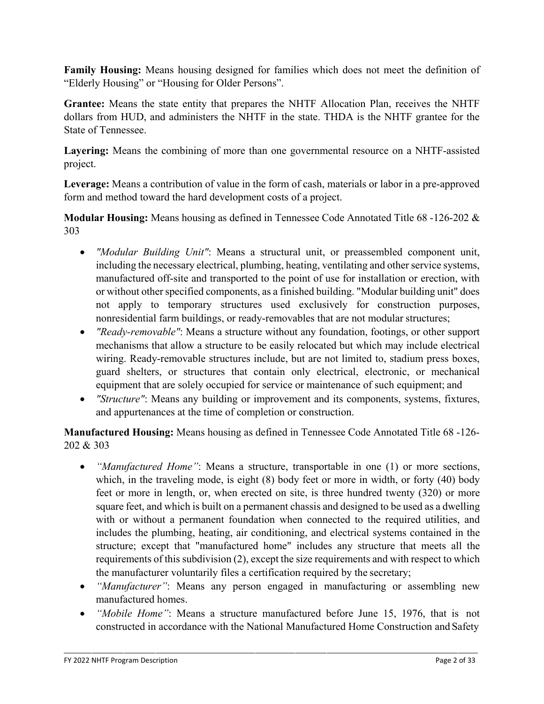**Family Housing:** Means housing designed for families which does not meet the definition of "Elderly Housing" or "Housing for Older Persons".

**Grantee:** Means the state entity that prepares the NHTF Allocation Plan, receives the NHTF dollars from HUD, and administers the NHTF in the state. THDA is the NHTF grantee for the State of Tennessee.

**Layering:** Means the combining of more than one governmental resource on a NHTF-assisted project.

**Leverage:** Means a contribution of value in the form of cash, materials or labor in a pre-approved form and method toward the hard development costs of a project.

**Modular Housing:** Means housing as defined in Tennessee Code Annotated Title 68 -126-202 & 303

- *"Modular Building Unit"*: Means a structural unit, or preassembled component unit, including the necessary electrical, plumbing, heating, ventilating and other service systems, manufactured off-site and transported to the point of use for installation or erection, with or without other specified components, as a finished building. "Modular building unit" does not apply to temporary structures used exclusively for construction purposes, nonresidential farm buildings, or ready-removables that are not modular structures;
- *"Ready-removable"*: Means a structure without any foundation, footings, or other support mechanisms that allow a structure to be easily relocated but which may include electrical wiring. Ready-removable structures include, but are not limited to, stadium press boxes, guard shelters, or structures that contain only electrical, electronic, or mechanical equipment that are solely occupied for service or maintenance of such equipment; and
- *"Structure"*: Means any building or improvement and its components, systems, fixtures, and appurtenances at the time of completion or construction.

**Manufactured Housing:** Means housing as defined in Tennessee Code Annotated Title 68 -126- 202 & 303

- *"Manufactured Home"*: Means a structure, transportable in one (1) or more sections, which, in the traveling mode, is eight (8) body feet or more in width, or forty (40) body feet or more in length, or, when erected on site, is three hundred twenty (320) or more square feet, and which is built on a permanent chassis and designed to be used as a dwelling with or without a permanent foundation when connected to the required utilities, and includes the plumbing, heating, air conditioning, and electrical systems contained in the structure; except that "manufactured home" includes any structure that meets all the requirements of this subdivision (2), except the size requirements and with respect to which the manufacturer voluntarily files a certification required by the secretary;
- *"Manufacturer"*: Means any person engaged in manufacturing or assembling new manufactured homes.
- *"Mobile Home"*: Means a structure manufactured before June 15, 1976, that is not constructed in accordance with the National Manufactured Home Construction and Safety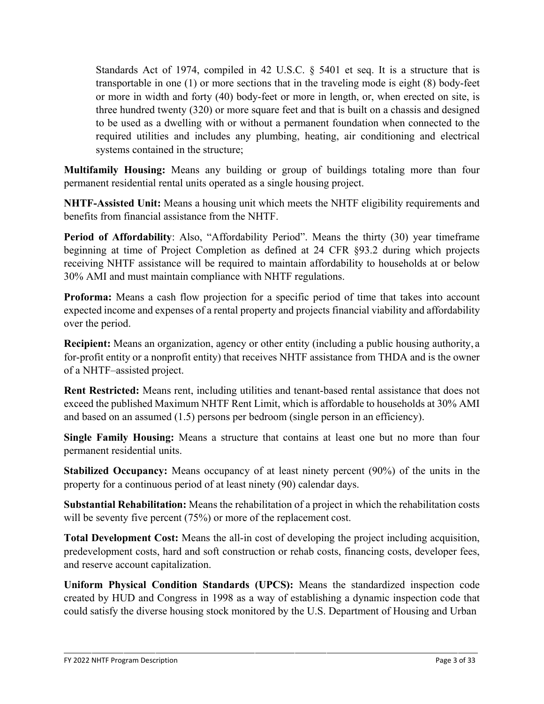Standards Act of 1974, compiled in 42 U.S.C. § 5401 et seq. It is a structure that is transportable in one (1) or more sections that in the traveling mode is eight (8) body-feet or more in width and forty (40) body-feet or more in length, or, when erected on site, is three hundred twenty (320) or more square feet and that is built on a chassis and designed to be used as a dwelling with or without a permanent foundation when connected to the required utilities and includes any plumbing, heating, air conditioning and electrical systems contained in the structure;

**Multifamily Housing:** Means any building or group of buildings totaling more than four permanent residential rental units operated as a single housing project.

**NHTF-Assisted Unit:** Means a housing unit which meets the NHTF eligibility requirements and benefits from financial assistance from the NHTF.

**Period of Affordability**: Also, "Affordability Period". Means the thirty (30) year timeframe beginning at time of Project Completion as defined at 24 CFR §93.2 during which projects receiving NHTF assistance will be required to maintain affordability to households at or below 30% AMI and must maintain compliance with NHTF regulations.

**Proforma:** Means a cash flow projection for a specific period of time that takes into account expected income and expenses of a rental property and projects financial viability and affordability over the period.

**Recipient:** Means an organization, agency or other entity (including a public housing authority, a for-profit entity or a nonprofit entity) that receives NHTF assistance from THDA and is the owner of a NHTF–assisted project.

**Rent Restricted:** Means rent, including utilities and tenant-based rental assistance that does not exceed the published Maximum NHTF Rent Limit, which is affordable to households at 30% AMI and based on an assumed (1.5) persons per bedroom (single person in an efficiency).

**Single Family Housing:** Means a structure that contains at least one but no more than four permanent residential units.

**Stabilized Occupancy:** Means occupancy of at least ninety percent (90%) of the units in the property for a continuous period of at least ninety (90) calendar days.

**Substantial Rehabilitation:** Means the rehabilitation of a project in which the rehabilitation costs will be seventy five percent (75%) or more of the replacement cost.

**Total Development Cost:** Means the all-in cost of developing the project including acquisition, predevelopment costs, hard and soft construction or rehab costs, financing costs, developer fees, and reserve account capitalization.

**Uniform Physical Condition Standards (UPCS):** Means the standardized inspection code created by HUD and Congress in 1998 as a way of establishing a dynamic inspection code that could satisfy the diverse housing stock monitored by the U.S. Department of Housing and Urban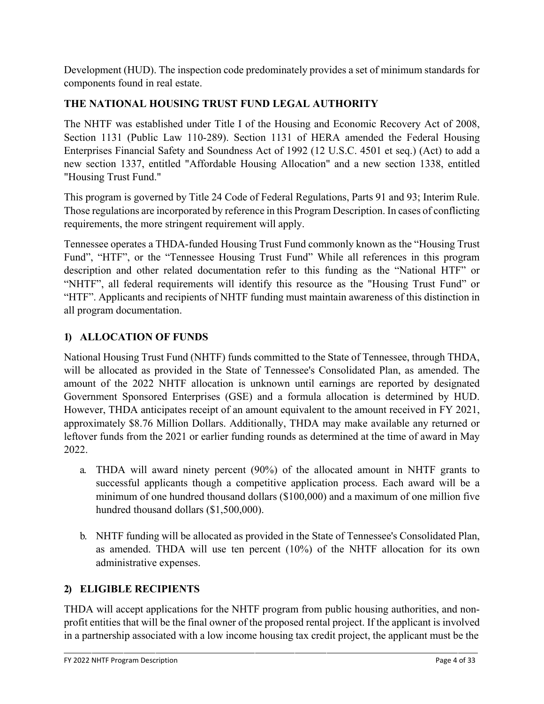Development (HUD). The inspection code predominately provides a set of minimum standards for components found in real estate.

# **THE NATIONAL HOUSING TRUST FUND LEGAL AUTHORITY**

The NHTF was established under Title I of the Housing and Economic Recovery Act of 2008, Section 1131 (Public Law 110-289). Section 1131 of HERA amended the Federal Housing Enterprises Financial Safety and Soundness Act of 1992 (12 U.S.C. 4501 et seq.) (Act) to add a new section 1337, entitled "Affordable Housing Allocation" and a new section 1338, entitled "Housing Trust Fund."

This program is governed by Title 24 Code of Federal Regulations, Parts 91 and 93; Interim Rule. Those regulations are incorporated by reference in this Program Description. In cases of conflicting requirements, the more stringent requirement will apply.

Tennessee operates a THDA-funded Housing Trust Fund commonly known as the "Housing Trust Fund", "HTF", or the "Tennessee Housing Trust Fund" While all references in this program description and other related documentation refer to this funding as the "National HTF" or "NHTF", all federal requirements will identify this resource as the "Housing Trust Fund" or "HTF". Applicants and recipients of NHTF funding must maintain awareness of this distinction in all program documentation.

# **1) ALLOCATION OF FUNDS**

National Housing Trust Fund (NHTF) funds committed to the State of Tennessee, through THDA, will be allocated as provided in the State of Tennessee's Consolidated Plan, as amended. The amount of the 2022 NHTF allocation is unknown until earnings are reported by designated Government Sponsored Enterprises (GSE) and a formula allocation is determined by HUD. However, THDA anticipates receipt of an amount equivalent to the amount received in FY 2021, approximately \$8.76 Million Dollars. Additionally, THDA may make available any returned or leftover funds from the 2021 or earlier funding rounds as determined at the time of award in May 2022.

- a. THDA will award ninety percent (90%) of the allocated amount in NHTF grants to successful applicants though a competitive application process. Each award will be a minimum of one hundred thousand dollars (\$100,000) and a maximum of one million five hundred thousand dollars (\$1,500,000).
- b. NHTF funding will be allocated as provided in the State of Tennessee's Consolidated Plan, as amended. THDA will use ten percent (10%) of the NHTF allocation for its own administrative expenses.

# **2) ELIGIBLE RECIPIENTS**

THDA will accept applications for the NHTF program from public housing authorities, and nonprofit entities that will be the final owner of the proposed rental project. If the applicant is involved in a partnership associated with a low income housing tax credit project, the applicant must be the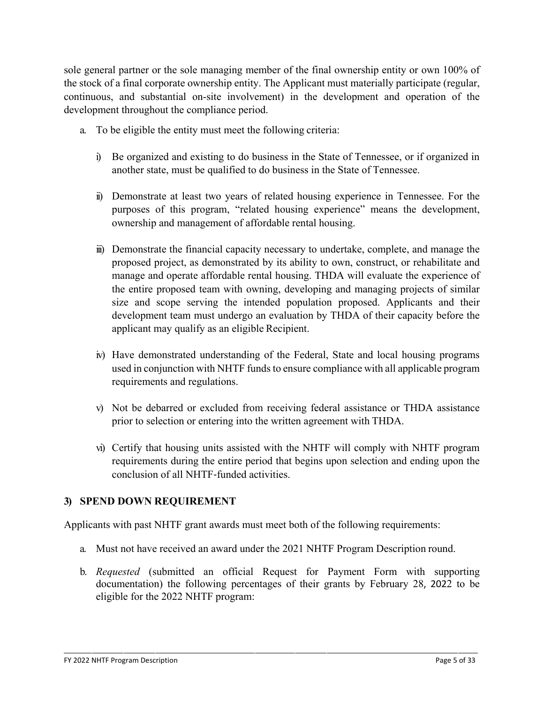sole general partner or the sole managing member of the final ownership entity or own 100% of the stock of a final corporate ownership entity. The Applicant must materially participate (regular, continuous, and substantial on-site involvement) in the development and operation of the development throughout the compliance period.

- a. To be eligible the entity must meet the following criteria:
	- i) Be organized and existing to do business in the State of Tennessee, or if organized in another state, must be qualified to do business in the State of Tennessee.
	- ii) Demonstrate at least two years of related housing experience in Tennessee. For the purposes of this program, "related housing experience" means the development, ownership and management of affordable rental housing.
	- iii) Demonstrate the financial capacity necessary to undertake, complete, and manage the proposed project, as demonstrated by its ability to own, construct, or rehabilitate and manage and operate affordable rental housing. THDA will evaluate the experience of the entire proposed team with owning, developing and managing projects of similar size and scope serving the intended population proposed. Applicants and their development team must undergo an evaluation by THDA of their capacity before the applicant may qualify as an eligible Recipient.
	- iv) Have demonstrated understanding of the Federal, State and local housing programs used in conjunction with NHTF funds to ensure compliance with all applicable program requirements and regulations.
	- v) Not be debarred or excluded from receiving federal assistance or THDA assistance prior to selection or entering into the written agreement with THDA.
	- vi) Certify that housing units assisted with the NHTF will comply with NHTF program requirements during the entire period that begins upon selection and ending upon the conclusion of all NHTF‐funded activities.

## **3) SPEND DOWN REQUIREMENT**

Applicants with past NHTF grant awards must meet both of the following requirements:

- a. Must not have received an award under the 2021 NHTF Program Description round.
- b. *Requested* (submitted an official Request for Payment Form with supporting documentation) the following percentages of their grants by February 28, 2022 to be eligible for the 2022 NHTF program: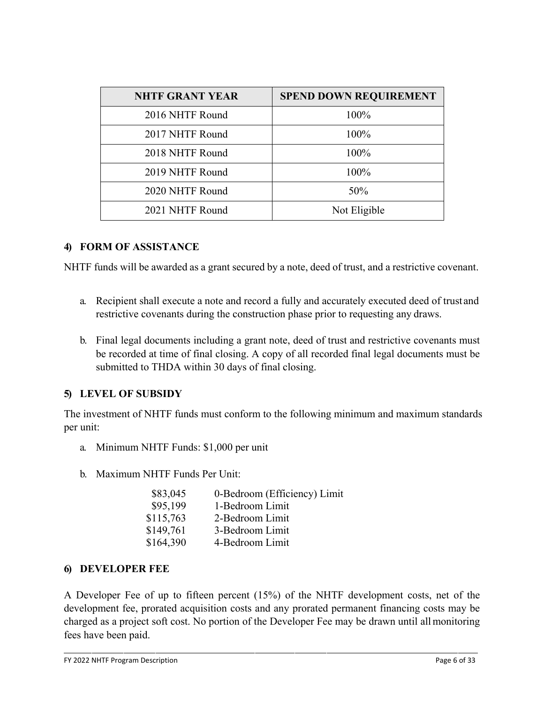| <b>NHTF GRANT YEAR</b> | <b>SPEND DOWN REQUIREMENT</b> |
|------------------------|-------------------------------|
| 2016 NHTF Round        | 100%                          |
| 2017 NHTF Round        | 100%                          |
| 2018 NHTF Round        | 100%                          |
| 2019 NHTF Round        | 100%                          |
| 2020 NHTF Round        | 50%                           |
| 2021 NHTF Round        | Not Eligible                  |

#### **4) FORM OF ASSISTANCE**

NHTF funds will be awarded as a grant secured by a note, deed of trust, and a restrictive covenant.

- a. Recipient shall execute a note and record a fully and accurately executed deed of trust and restrictive covenants during the construction phase prior to requesting any draws.
- b. Final legal documents including a grant note, deed of trust and restrictive covenants must be recorded at time of final closing. A copy of all recorded final legal documents must be submitted to THDA within 30 days of final closing.

## **5) LEVEL OF SUBSIDY**

The investment of NHTF funds must conform to the following minimum and maximum standards per unit:

- a. Minimum NHTF Funds: \$1,000 per unit
- b. Maximum NHTF Funds Per Unit:

| \$83,045  | 0-Bedroom (Efficiency) Limit |
|-----------|------------------------------|
| \$95,199  | 1-Bedroom Limit              |
| \$115,763 | 2-Bedroom Limit              |
| \$149,761 | 3-Bedroom Limit              |
| \$164,390 | 4-Bedroom Limit              |

#### **6) DEVELOPER FEE**

A Developer Fee of up to fifteen percent (15%) of the NHTF development costs, net of the development fee, prorated acquisition costs and any prorated permanent financing costs may be charged as a project soft cost. No portion of the Developer Fee may be drawn until allmonitoring fees have been paid.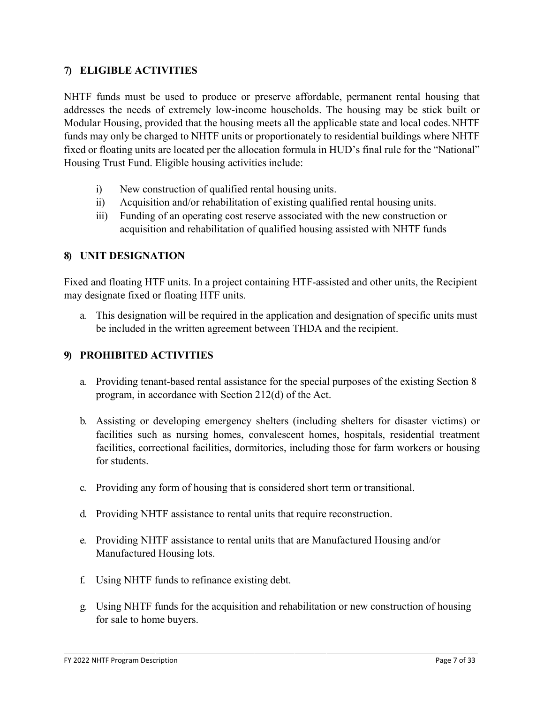#### **7) ELIGIBLE ACTIVITIES**

NHTF funds must be used to produce or preserve affordable, permanent rental housing that addresses the needs of extremely low-income households. The housing may be stick built or Modular Housing, provided that the housing meets all the applicable state and local codes.NHTF funds may only be charged to NHTF units or proportionately to residential buildings where NHTF fixed or floating units are located per the allocation formula in HUD's final rule for the "National" Housing Trust Fund. Eligible housing activities include:

- i) New construction of qualified rental housing units.
- ii) Acquisition and/or rehabilitation of existing qualified rental housing units.
- iii) Funding of an operating cost reserve associated with the new construction or acquisition and rehabilitation of qualified housing assisted with NHTF funds

#### **8) UNIT DESIGNATION**

Fixed and floating HTF units. In a project containing HTF-assisted and other units, the Recipient may designate fixed or floating HTF units.

a. This designation will be required in the application and designation of specific units must be included in the written agreement between THDA and the recipient.

#### **9) PROHIBITED ACTIVITIES**

- a. Providing tenant-based rental assistance for the special purposes of the existing Section 8 program, in accordance with Section 212(d) of the Act.
- b. Assisting or developing emergency shelters (including shelters for disaster victims) or facilities such as nursing homes, convalescent homes, hospitals, residential treatment facilities, correctional facilities, dormitories, including those for farm workers or housing for students.
- c. Providing any form of housing that is considered short term or transitional.
- d. Providing NHTF assistance to rental units that require reconstruction.
- e. Providing NHTF assistance to rental units that are Manufactured Housing and/or Manufactured Housing lots.
- f. Using NHTF funds to refinance existing debt.
- g. Using NHTF funds for the acquisition and rehabilitation or new construction of housing for sale to home buyers.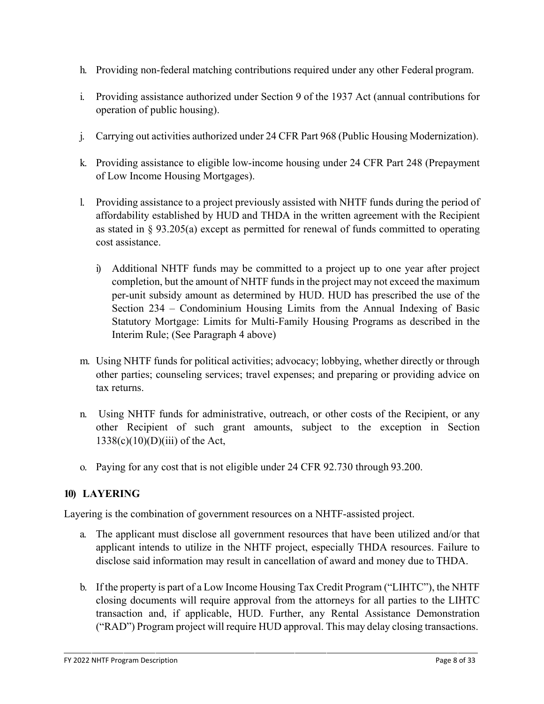- h. Providing non-federal matching contributions required under any other Federal program.
- i. Providing assistance authorized under Section 9 of the 1937 Act (annual contributions for operation of public housing).
- j. Carrying out activities authorized under 24 CFR Part 968 (Public Housing Modernization).
- k. Providing assistance to eligible low-income housing under 24 CFR Part 248 (Prepayment of Low Income Housing Mortgages).
- l. Providing assistance to a project previously assisted with NHTF funds during the period of affordability established by HUD and THDA in the written agreement with the Recipient as stated in § 93.205(a) except as permitted for renewal of funds committed to operating cost assistance.
	- i) Additional NHTF funds may be committed to a project up to one year after project completion, but the amount of NHTF funds in the project may not exceed the maximum per-unit subsidy amount as determined by HUD. HUD has prescribed the use of the Section 234 – Condominium Housing Limits from the Annual Indexing of Basic Statutory Mortgage: Limits for Multi-Family Housing Programs as described in the Interim Rule; (See Paragraph 4 above)
- m. Using NHTF funds for political activities; advocacy; lobbying, whether directly or through other parties; counseling services; travel expenses; and preparing or providing advice on tax returns.
- n. Using NHTF funds for administrative, outreach, or other costs of the Recipient, or any other Recipient of such grant amounts, subject to the exception in Section  $1338(c)(10)(D)(iii)$  of the Act,
- o. Paying for any cost that is not eligible under 24 CFR 92.730 through 93.200.

## **10) LAYERING**

Layering is the combination of government resources on a NHTF-assisted project.

- a. The applicant must disclose all government resources that have been utilized and/or that applicant intends to utilize in the NHTF project, especially THDA resources. Failure to disclose said information may result in cancellation of award and money due to THDA.
- b. If the property is part of a Low Income Housing Tax Credit Program ("LIHTC"), the NHTF closing documents will require approval from the attorneys for all parties to the LIHTC transaction and, if applicable, HUD. Further, any Rental Assistance Demonstration ("RAD") Program project will require HUD approval. This may delay closing transactions.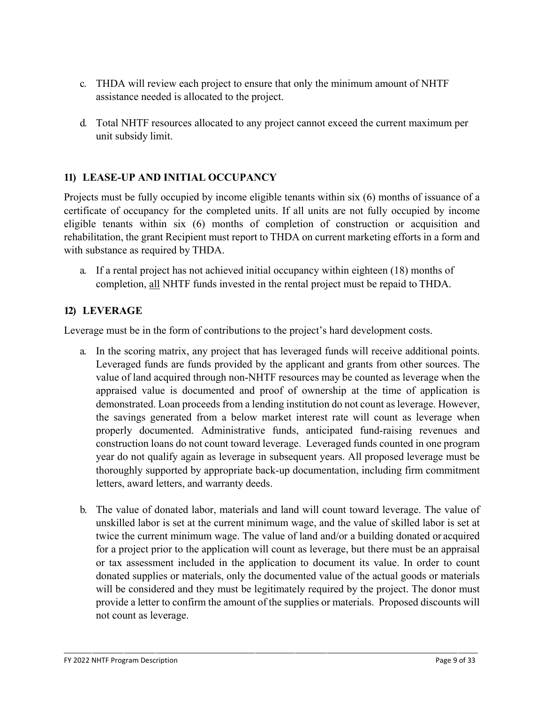- c. THDA will review each project to ensure that only the minimum amount of NHTF assistance needed is allocated to the project.
- d. Total NHTF resources allocated to any project cannot exceed the current maximum per unit subsidy limit.

## **11) LEASE-UP AND INITIAL OCCUPANCY**

Projects must be fully occupied by income eligible tenants within six (6) months of issuance of a certificate of occupancy for the completed units. If all units are not fully occupied by income eligible tenants within six (6) months of completion of construction or acquisition and rehabilitation, the grant Recipient must report to THDA on current marketing efforts in a form and with substance as required by THDA.

a. If a rental project has not achieved initial occupancy within eighteen (18) months of completion, all NHTF funds invested in the rental project must be repaid to THDA.

## **12) LEVERAGE**

Leverage must be in the form of contributions to the project's hard development costs.

- a. In the scoring matrix, any project that has leveraged funds will receive additional points. Leveraged funds are funds provided by the applicant and grants from other sources. The value of land acquired through non-NHTF resources may be counted as leverage when the appraised value is documented and proof of ownership at the time of application is demonstrated. Loan proceeds from a lending institution do not count as leverage. However, the savings generated from a below market interest rate will count as leverage when properly documented. Administrative funds, anticipated fund-raising revenues and construction loans do not count toward leverage. Leveraged funds counted in one program year do not qualify again as leverage in subsequent years. All proposed leverage must be thoroughly supported by appropriate back-up documentation, including firm commitment letters, award letters, and warranty deeds.
- b. The value of donated labor, materials and land will count toward leverage. The value of unskilled labor is set at the current minimum wage, and the value of skilled labor is set at twice the current minimum wage. The value of land and/or a building donated or acquired for a project prior to the application will count as leverage, but there must be an appraisal or tax assessment included in the application to document its value. In order to count donated supplies or materials, only the documented value of the actual goods or materials will be considered and they must be legitimately required by the project. The donor must provide a letter to confirm the amount of the supplies or materials. Proposed discounts will not count as leverage.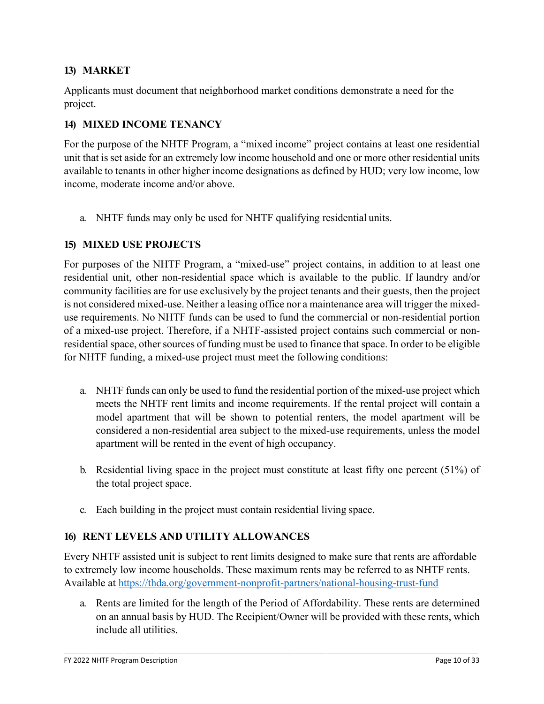#### **13) MARKET**

Applicants must document that neighborhood market conditions demonstrate a need for the project.

#### **14) MIXED INCOME TENANCY**

For the purpose of the NHTF Program, a "mixed income" project contains at least one residential unit that is set aside for an extremely low income household and one or more other residential units available to tenants in other higher income designations as defined by HUD; very low income, low income, moderate income and/or above.

a. NHTF funds may only be used for NHTF qualifying residential units.

#### **15) MIXED USE PROJECTS**

For purposes of the NHTF Program, a "mixed-use" project contains, in addition to at least one residential unit, other non-residential space which is available to the public. If laundry and/or community facilities are for use exclusively by the project tenants and their guests, then the project is not considered mixed-use. Neither a leasing office nor a maintenance area will trigger the mixeduse requirements. No NHTF funds can be used to fund the commercial or non-residential portion of a mixed-use project. Therefore, if a NHTF-assisted project contains such commercial or nonresidential space, other sources of funding must be used to finance that space. In order to be eligible for NHTF funding, a mixed-use project must meet the following conditions:

- a. NHTF funds can only be used to fund the residential portion of the mixed-use project which meets the NHTF rent limits and income requirements. If the rental project will contain a model apartment that will be shown to potential renters, the model apartment will be considered a non-residential area subject to the mixed-use requirements, unless the model apartment will be rented in the event of high occupancy.
- b. Residential living space in the project must constitute at least fifty one percent (51%) of the total project space.
- c. Each building in the project must contain residential living space.

#### **16) RENT LEVELS AND UTILITY ALLOWANCES**

Every NHTF assisted unit is subject to rent limits designed to make sure that rents are affordable to extremely low income households. These maximum rents may be referred to as NHTF rents. Available at<https://thda.org/government-nonprofit-partners/national-housing-trust-fund>

a. Rents are limited for the length of the Period of Affordability. These rents are determined on an annual basis by HUD. The Recipient/Owner will be provided with these rents, which include all utilities.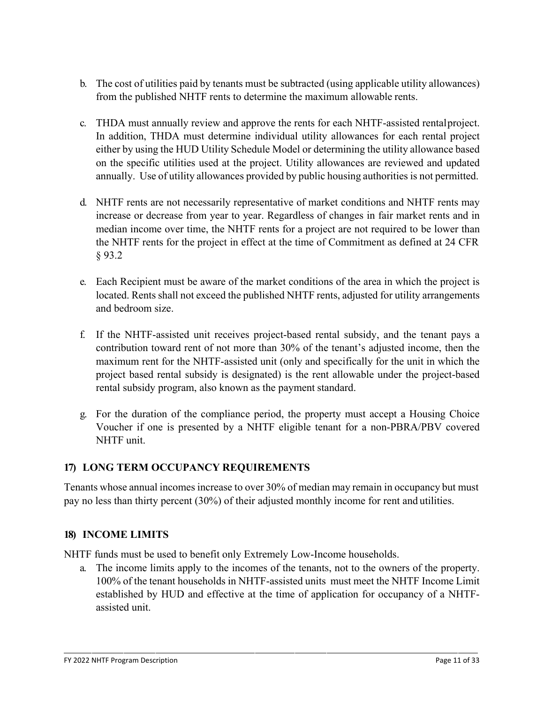- b. The cost of utilities paid by tenants must be subtracted (using applicable utility allowances) from the published NHTF rents to determine the maximum allowable rents.
- c. THDA must annually review and approve the rents for each NHTF-assisted rentalproject. In addition, THDA must determine individual utility allowances for each rental project either by using the HUD Utility Schedule Model or determining the utility allowance based on the specific utilities used at the project. Utility allowances are reviewed and updated annually. Use of utility allowances provided by public housing authorities is not permitted.
- d. NHTF rents are not necessarily representative of market conditions and NHTF rents may increase or decrease from year to year. Regardless of changes in fair market rents and in median income over time, the NHTF rents for a project are not required to be lower than the NHTF rents for the project in effect at the time of Commitment as defined at 24 CFR § 93.2
- e. Each Recipient must be aware of the market conditions of the area in which the project is located. Rents shall not exceed the published NHTF rents, adjusted for utility arrangements and bedroom size.
- f. If the NHTF-assisted unit receives project-based rental subsidy, and the tenant pays a contribution toward rent of not more than 30% of the tenant's adjusted income, then the maximum rent for the NHTF-assisted unit (only and specifically for the unit in which the project based rental subsidy is designated) is the rent allowable under the project-based rental subsidy program, also known as the payment standard.
- g. For the duration of the compliance period, the property must accept a Housing Choice Voucher if one is presented by a NHTF eligible tenant for a non-PBRA/PBV covered NHTF unit.

## **17) LONG TERM OCCUPANCY REQUIREMENTS**

Tenants whose annual incomes increase to over 30% of median may remain in occupancy but must pay no less than thirty percent (30%) of their adjusted monthly income for rent and utilities.

## **18) INCOME LIMITS**

NHTF funds must be used to benefit only Extremely Low-Income households.

a. The income limits apply to the incomes of the tenants, not to the owners of the property. 100% of the tenant households in NHTF-assisted units must meet the NHTF Income Limit established by HUD and effective at the time of application for occupancy of a NHTFassisted unit.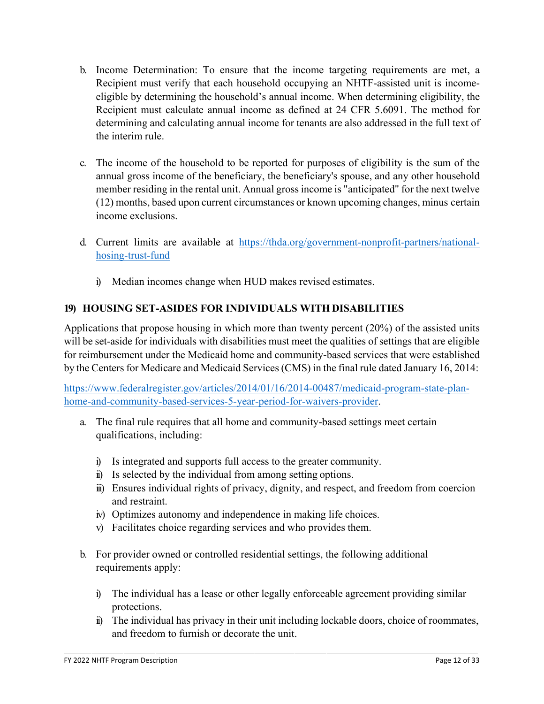- b. Income Determination: To ensure that the income targeting requirements are met, a Recipient must verify that each household occupying an NHTF-assisted unit is incomeeligible by determining the household's annual income. When determining eligibility, the Recipient must calculate annual income as defined at 24 CFR 5.6091. The method for determining and calculating annual income for tenants are also addressed in the full text of the interim rule.
- c. The income of the household to be reported for purposes of eligibility is the sum of the annual gross income of the beneficiary, the beneficiary's spouse, and any other household member residing in the rental unit. Annual gross income is "anticipated" for the next twelve (12) months, based upon current circumstances or known upcoming changes, minus certain income exclusions.
- d. Current limits are available at [https://thda.org/government-nonprofit-partners/national](https://thda.org/government-nonprofit-partners/national-hosing-trust-fund)[hosing-trust-fund](https://thda.org/government-nonprofit-partners/national-hosing-trust-fund)
	- i) Median incomes change when HUD makes revised estimates.

## **19) HOUSING SET-ASIDES FOR INDIVIDUALS WITHDISABILITIES**

Applications that propose housing in which more than twenty percent (20%) of the assisted units will be set-aside for individuals with disabilities must meet the qualities of settings that are eligible for reimbursement under the Medicaid home and community-based services that were established by the Centers for Medicare and Medicaid Services (CMS) in the final rule dated January 16, 2014:

[https://www.federalregister.gov/articles/2014/01/16/2014-00487/medicaid-program-state-plan](https://www.federalregister.gov/articles/2014/01/16/2014-00487/medicaid-program-state-plan-home-and-community-based-services-5-year-period-for-waivers-provider)[home-and-community-based-services-5-year-period-for-waivers-provider.](https://www.federalregister.gov/articles/2014/01/16/2014-00487/medicaid-program-state-plan-home-and-community-based-services-5-year-period-for-waivers-provider)

- a. The final rule requires that all home and community-based settings meet certain qualifications, including:
	- i) Is integrated and supports full access to the greater community.
	- ii) Is selected by the individual from among setting options.
	- iii) Ensures individual rights of privacy, dignity, and respect, and freedom from coercion and restraint.
	- iv) Optimizes autonomy and independence in making life choices.
	- v) Facilitates choice regarding services and who provides them.
- b. For provider owned or controlled residential settings, the following additional requirements apply:
	- i) The individual has a lease or other legally enforceable agreement providing similar protections.
	- ii) The individual has privacy in their unit including lockable doors, choice of roommates, and freedom to furnish or decorate the unit.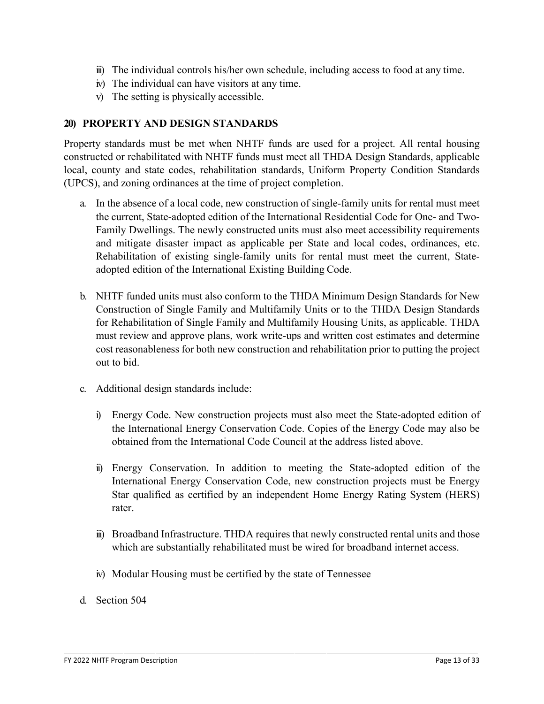- iii) The individual controls his/her own schedule, including access to food at any time.
- iv) The individual can have visitors at any time.
- v) The setting is physically accessible.

#### **20) PROPERTY AND DESIGN STANDARDS**

Property standards must be met when NHTF funds are used for a project. All rental housing constructed or rehabilitated with NHTF funds must meet all THDA Design Standards, applicable local, county and state codes, rehabilitation standards, Uniform Property Condition Standards (UPCS), and zoning ordinances at the time of project completion.

- a. In the absence of a local code, new construction of single-family units for rental must meet the current, State-adopted edition of the International Residential Code for One- and Two-Family Dwellings. The newly constructed units must also meet accessibility requirements and mitigate disaster impact as applicable per State and local codes, ordinances, etc. Rehabilitation of existing single-family units for rental must meet the current, Stateadopted edition of the International Existing Building Code.
- b. NHTF funded units must also conform to the THDA Minimum Design Standards for New Construction of Single Family and Multifamily Units or to the THDA Design Standards for Rehabilitation of Single Family and Multifamily Housing Units, as applicable. THDA must review and approve plans, work write-ups and written cost estimates and determine cost reasonableness for both new construction and rehabilitation prior to putting the project out to bid.
- c. Additional design standards include:
	- i) Energy Code. New construction projects must also meet the State-adopted edition of the International Energy Conservation Code. Copies of the Energy Code may also be obtained from the International Code Council at the address listed above.
	- ii) Energy Conservation. In addition to meeting the State-adopted edition of the International Energy Conservation Code, new construction projects must be Energy Star qualified as certified by an independent Home Energy Rating System (HERS) rater.
	- iii) Broadband Infrastructure. THDA requires that newly constructed rental units and those which are substantially rehabilitated must be wired for broadband internet access.
	- iv) Modular Housing must be certified by the state of Tennessee
- d. Section 504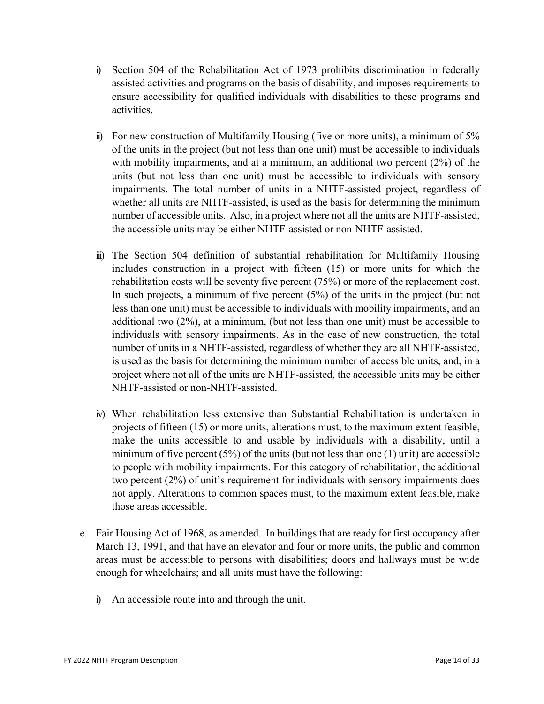- i) Section 504 of the Rehabilitation Act of 1973 prohibits discrimination in federally assisted activities and programs on the basis of disability, and imposes requirements to ensure accessibility for qualified individuals with disabilities to these programs and activities.
- ii) For new construction of Multifamily Housing (five or more units), a minimum of 5% of the units in the project (but not less than one unit) must be accessible to individuals with mobility impairments, and at a minimum, an additional two percent (2%) of the units (but not less than one unit) must be accessible to individuals with sensory impairments. The total number of units in a NHTF-assisted project, regardless of whether all units are NHTF-assisted, is used as the basis for determining the minimum number of accessible units. Also, in a project where not all the units are NHTF-assisted, the accessible units may be either NHTF-assisted or non-NHTF-assisted.
- iii) The Section 504 definition of substantial rehabilitation for Multifamily Housing includes construction in a project with fifteen (15) or more units for which the rehabilitation costs will be seventy five percent (75%) or more of the replacement cost. In such projects, a minimum of five percent (5%) of the units in the project (but not less than one unit) must be accessible to individuals with mobility impairments, and an additional two (2%), at a minimum, (but not less than one unit) must be accessible to individuals with sensory impairments. As in the case of new construction, the total number of units in a NHTF-assisted, regardless of whether they are all NHTF-assisted, is used as the basis for determining the minimum number of accessible units, and, in a project where not all of the units are NHTF-assisted, the accessible units may be either NHTF-assisted or non-NHTF-assisted.
- iv) When rehabilitation less extensive than Substantial Rehabilitation is undertaken in projects of fifteen (15) or more units, alterations must, to the maximum extent feasible, make the units accessible to and usable by individuals with a disability, until a minimum of five percent  $(5%)$  of the units (but not less than one  $(1)$  unit) are accessible to people with mobility impairments. For this category of rehabilitation, the additional two percent (2%) of unit's requirement for individuals with sensory impairments does not apply. Alterations to common spaces must, to the maximum extent feasible, make those areas accessible.
- e. Fair Housing Act of 1968, as amended. In buildings that are ready for first occupancy after March 13, 1991, and that have an elevator and four or more units, the public and common areas must be accessible to persons with disabilities; doors and hallways must be wide enough for wheelchairs; and all units must have the following:
	- i) An accessible route into and through the unit.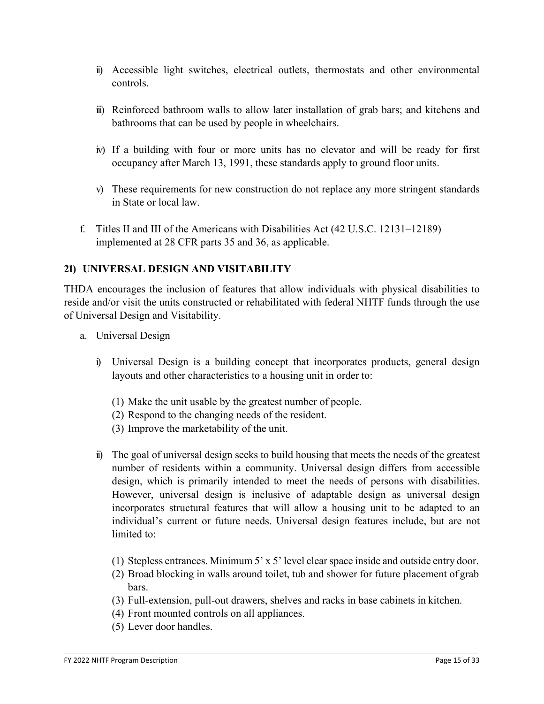- ii) Accessible light switches, electrical outlets, thermostats and other environmental controls.
- iii) Reinforced bathroom walls to allow later installation of grab bars; and kitchens and bathrooms that can be used by people in wheelchairs.
- iv) If a building with four or more units has no elevator and will be ready for first occupancy after March 13, 1991, these standards apply to ground floor units.
- v) These requirements for new construction do not replace any more stringent standards in State or local law.
- f. Titles II and III of the Americans with Disabilities Act (42 U.S.C. 12131–12189) implemented at 28 CFR parts 35 and 36, as applicable.

## **21) UNIVERSAL DESIGN AND VISITABILITY**

THDA encourages the inclusion of features that allow individuals with physical disabilities to reside and/or visit the units constructed or rehabilitated with federal NHTF funds through the use of Universal Design and Visitability.

- a. Universal Design
	- i) Universal Design is a building concept that incorporates products, general design layouts and other characteristics to a housing unit in order to:
		- (1) Make the unit usable by the greatest number of people.
		- (2) Respond to the changing needs of the resident.
		- (3) Improve the marketability of the unit.
	- ii) The goal of universal design seeks to build housing that meets the needs of the greatest number of residents within a community. Universal design differs from accessible design, which is primarily intended to meet the needs of persons with disabilities. However, universal design is inclusive of adaptable design as universal design incorporates structural features that will allow a housing unit to be adapted to an individual's current or future needs. Universal design features include, but are not limited to:
		- (1) Stepless entrances. Minimum 5' x 5' level clearspace inside and outside entry door.
		- (2) Broad blocking in walls around toilet, tub and shower for future placement of grab bars.
		- (3) Full-extension, pull-out drawers, shelves and racks in base cabinets in kitchen.
		- (4) Front mounted controls on all appliances.
		- (5) Lever door handles.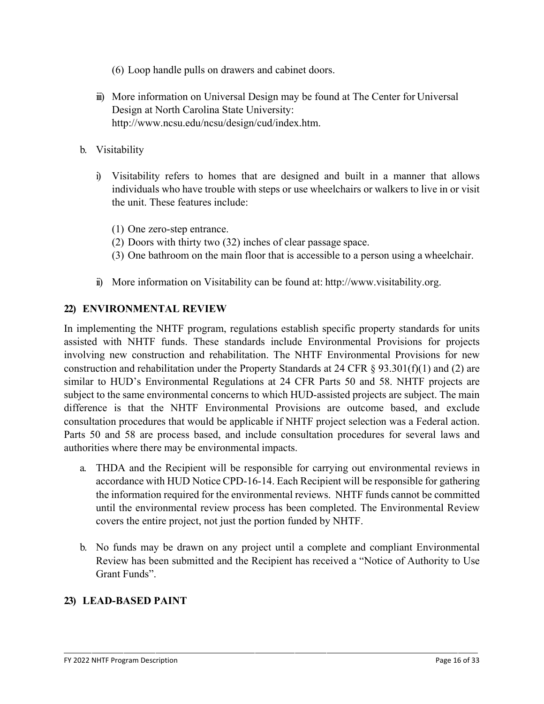- (6) Loop handle pulls on drawers and cabinet doors.
- iii) More information on Universal Design may be found at The Center for Universal Design at North Carolina State University: [http://www.ncsu.edu/ncsu/design/cud/index.htm.](http://www.ncsu.edu/ncsu/design/cud/index.htm)
- b. Visitability
	- i) Visitability refers to homes that are designed and built in a manner that allows individuals who have trouble with steps or use wheelchairs or walkers to live in or visit the unit. These features include:
		- (1) One zero-step entrance.
		- (2) Doors with thirty two (32) inches of clear passage space.
		- (3) One bathroom on the main floor that is accessible to a person using a wheelchair.
	- ii) More information on Visitability can be found at: [http://www.visitability.org.](http://www.visitability.org/)

#### **22) ENVIRONMENTAL REVIEW**

In implementing the NHTF program, regulations establish specific property standards for units assisted with NHTF funds. These standards include Environmental Provisions for projects involving new construction and rehabilitation. The NHTF Environmental Provisions for new construction and rehabilitation under the Property Standards at 24 CFR  $\S$  93.301(f)(1) and (2) are similar to HUD's Environmental Regulations at 24 CFR Parts 50 and 58. NHTF projects are subject to the same environmental concerns to which HUD-assisted projects are subject. The main difference is that the NHTF Environmental Provisions are outcome based, and exclude consultation procedures that would be applicable if NHTF project selection was a Federal action. Parts 50 and 58 are process based, and include consultation procedures for several laws and authorities where there may be environmental impacts.

- a. THDA and the Recipient will be responsible for carrying out environmental reviews in accordance with HUD Notice CPD-16-14. Each Recipient will be responsible for gathering the information required for the environmental reviews. NHTF funds cannot be committed until the environmental review process has been completed. The Environmental Review covers the entire project, not just the portion funded by NHTF.
- b. No funds may be drawn on any project until a complete and compliant Environmental Review has been submitted and the Recipient has received a "Notice of Authority to Use Grant Funds".

#### **23) LEAD-BASED PAINT**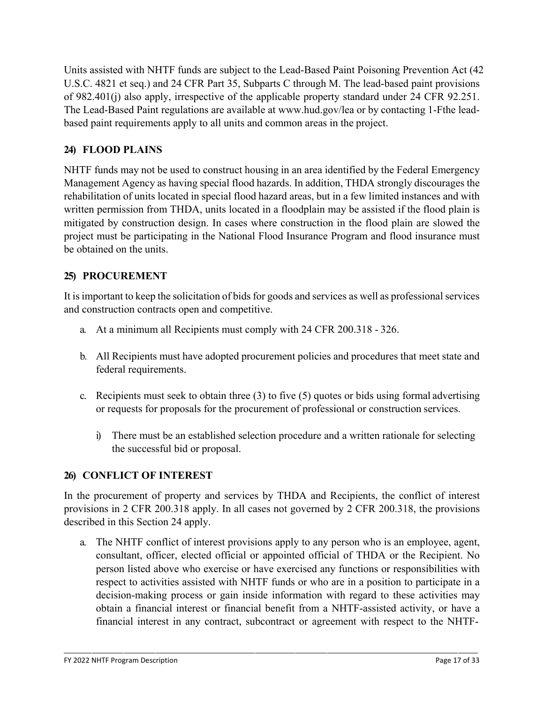Units assisted with NHTF funds are subject to the Lead-Based Paint Poisoning Prevention Act (42 U.S.C. 4821 et seq.) and 24 CFR Part 35, Subparts C through M. The lead-based paint provisions of 982.401(j) also apply, irrespective of the applicable property standard under 24 CFR 92.251. The Lead-Based Paint regulations are available at [www.hud.gov/lea](http://www.hud.gov/lea) or by contacting 1-Fthe leadbased paint requirements apply to all units and common areas in the project.

# **24) FLOOD PLAINS**

NHTF funds may not be used to construct housing in an area identified by the Federal Emergency Management Agency as having special flood hazards. In addition, THDA strongly discourages the rehabilitation of units located in special flood hazard areas, but in a few limited instances and with written permission from THDA, units located in a floodplain may be assisted if the flood plain is mitigated by construction design. In cases where construction in the flood plain are slowed the project must be participating in the National Flood Insurance Program and flood insurance must be obtained on the units.

## **25) PROCUREMENT**

It is important to keep the solicitation of bids for goods and services as well as professional services and construction contracts open and competitive.

- a. At a minimum all Recipients must comply with 24 CFR 200.318 326.
- b. All Recipients must have adopted procurement policies and procedures that meet state and federal requirements.
- c. Recipients must seek to obtain three (3) to five (5) quotes or bids using formal advertising or requests for proposals for the procurement of professional or construction services.
	- i) There must be an established selection procedure and a written rationale for selecting the successful bid or proposal.

## **26) CONFLICT OF INTEREST**

In the procurement of property and services by THDA and Recipients, the conflict of interest provisions in 2 CFR 200.318 apply. In all cases not governed by 2 CFR 200.318, the provisions described in this Section 24 apply.

a. The NHTF conflict of interest provisions apply to any person who is an employee, agent, consultant, officer, elected official or appointed official of THDA or the Recipient. No person listed above who exercise or have exercised any functions or responsibilities with respect to activities assisted with NHTF funds or who are in a position to participate in a decision-making process or gain inside information with regard to these activities may obtain a financial interest or financial benefit from a NHTF-assisted activity, or have a financial interest in any contract, subcontract or agreement with respect to the NHTF-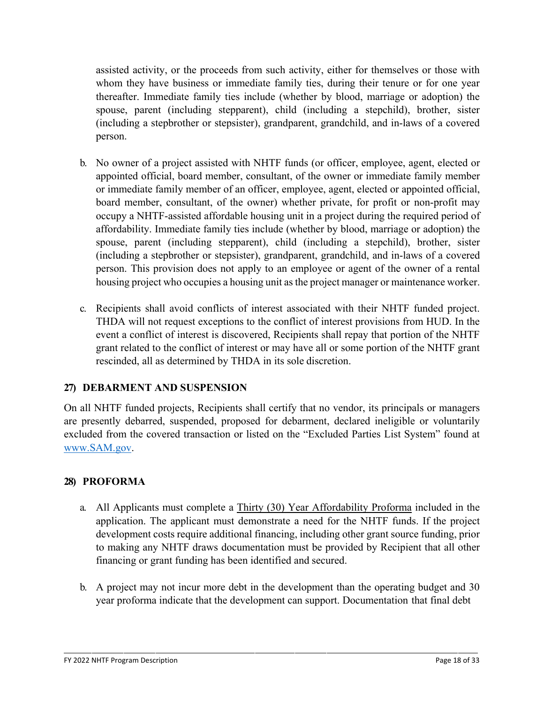assisted activity, or the proceeds from such activity, either for themselves or those with whom they have business or immediate family ties, during their tenure or for one year thereafter. Immediate family ties include (whether by blood, marriage or adoption) the spouse, parent (including stepparent), child (including a stepchild), brother, sister (including a stepbrother or stepsister), grandparent, grandchild, and in-laws of a covered person.

- b. No owner of a project assisted with NHTF funds (or officer, employee, agent, elected or appointed official, board member, consultant, of the owner or immediate family member or immediate family member of an officer, employee, agent, elected or appointed official, board member, consultant, of the owner) whether private, for profit or non-profit may occupy a NHTF-assisted affordable housing unit in a project during the required period of affordability. Immediate family ties include (whether by blood, marriage or adoption) the spouse, parent (including stepparent), child (including a stepchild), brother, sister (including a stepbrother or stepsister), grandparent, grandchild, and in-laws of a covered person. This provision does not apply to an employee or agent of the owner of a rental housing project who occupies a housing unit as the project manager or maintenance worker.
- c. Recipients shall avoid conflicts of interest associated with their NHTF funded project. THDA will not request exceptions to the conflict of interest provisions from HUD. In the event a conflict of interest is discovered, Recipients shall repay that portion of the NHTF grant related to the conflict of interest or may have all or some portion of the NHTF grant rescinded, all as determined by THDA in its sole discretion.

## **27) DEBARMENT AND SUSPENSION**

On all NHTF funded projects, Recipients shall certify that no vendor, its principals or managers are presently debarred, suspended, proposed for debarment, declared ineligible or voluntarily excluded from the covered transaction or listed on the "Excluded Parties List System" found at [www.SAM.gov.](http://www.sam.gov/)

#### **28) PROFORMA**

- a. All Applicants must complete a Thirty (30) Year Affordability Proforma included in the application. The applicant must demonstrate a need for the NHTF funds. If the project development costs require additional financing, including other grant source funding, prior to making any NHTF draws documentation must be provided by Recipient that all other financing or grant funding has been identified and secured.
- b. A project may not incur more debt in the development than the operating budget and 30 year proforma indicate that the development can support. Documentation that final debt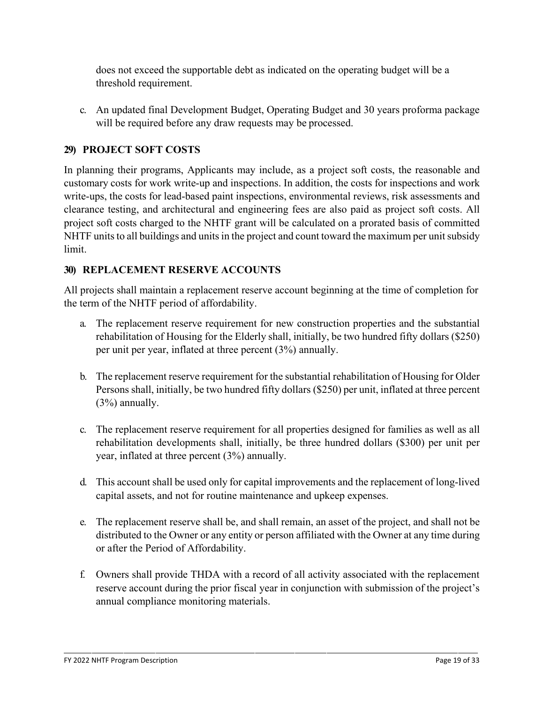does not exceed the supportable debt as indicated on the operating budget will be a threshold requirement.

c. An updated final Development Budget, Operating Budget and 30 years proforma package will be required before any draw requests may be processed.

## **29) PROJECT SOFT COSTS**

In planning their programs, Applicants may include, as a project soft costs, the reasonable and customary costs for work write-up and inspections. In addition, the costs for inspections and work write-ups, the costs for lead-based paint inspections, environmental reviews, risk assessments and clearance testing, and architectural and engineering fees are also paid as project soft costs. All project soft costs charged to the NHTF grant will be calculated on a prorated basis of committed NHTF units to all buildings and units in the project and count toward the maximum per unit subsidy limit.

## **30) REPLACEMENT RESERVE ACCOUNTS**

All projects shall maintain a replacement reserve account beginning at the time of completion for the term of the NHTF period of affordability.

- a. The replacement reserve requirement for new construction properties and the substantial rehabilitation of Housing for the Elderly shall, initially, be two hundred fifty dollars (\$250) per unit per year, inflated at three percent (3%) annually.
- b. The replacement reserve requirement for the substantial rehabilitation of Housing for Older Persons shall, initially, be two hundred fifty dollars (\$250) per unit, inflated at three percent  $(3%)$  annually.
- c. The replacement reserve requirement for all properties designed for families as well as all rehabilitation developments shall, initially, be three hundred dollars (\$300) per unit per year, inflated at three percent (3%) annually.
- d. This account shall be used only for capital improvements and the replacement of long-lived capital assets, and not for routine maintenance and upkeep expenses.
- e. The replacement reserve shall be, and shall remain, an asset of the project, and shall not be distributed to the Owner or any entity or person affiliated with the Owner at any time during or after the Period of Affordability.
- f. Owners shall provide THDA with a record of all activity associated with the replacement reserve account during the prior fiscal year in conjunction with submission of the project's annual compliance monitoring materials.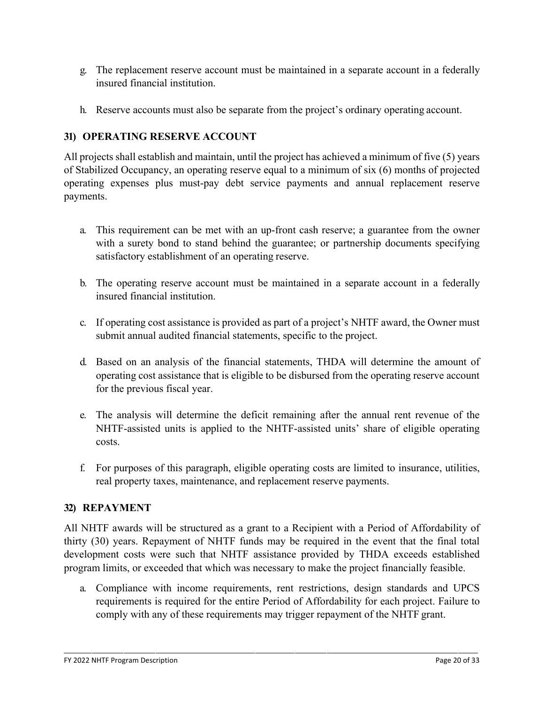- g. The replacement reserve account must be maintained in a separate account in a federally insured financial institution.
- h. Reserve accounts must also be separate from the project's ordinary operating account.

## **31) OPERATING RESERVE ACCOUNT**

All projects shall establish and maintain, until the project has achieved a minimum of five (5) years of Stabilized Occupancy, an operating reserve equal to a minimum of six (6) months of projected operating expenses plus must-pay debt service payments and annual replacement reserve payments.

- a. This requirement can be met with an up-front cash reserve; a guarantee from the owner with a surety bond to stand behind the guarantee; or partnership documents specifying satisfactory establishment of an operating reserve.
- b. The operating reserve account must be maintained in a separate account in a federally insured financial institution.
- c. If operating cost assistance is provided as part of a project's NHTF award, the Owner must submit annual audited financial statements, specific to the project.
- d. Based on an analysis of the financial statements, THDA will determine the amount of operating cost assistance that is eligible to be disbursed from the operating reserve account for the previous fiscal year.
- e. The analysis will determine the deficit remaining after the annual rent revenue of the NHTF-assisted units is applied to the NHTF-assisted units' share of eligible operating costs.
- f. For purposes of this paragraph, eligible operating costs are limited to insurance, utilities, real property taxes, maintenance, and replacement reserve payments.

## **32) REPAYMENT**

All NHTF awards will be structured as a grant to a Recipient with a Period of Affordability of thirty (30) years. Repayment of NHTF funds may be required in the event that the final total development costs were such that NHTF assistance provided by THDA exceeds established program limits, or exceeded that which was necessary to make the project financially feasible.

a. Compliance with income requirements, rent restrictions, design standards and UPCS requirements is required for the entire Period of Affordability for each project. Failure to comply with any of these requirements may trigger repayment of the NHTF grant.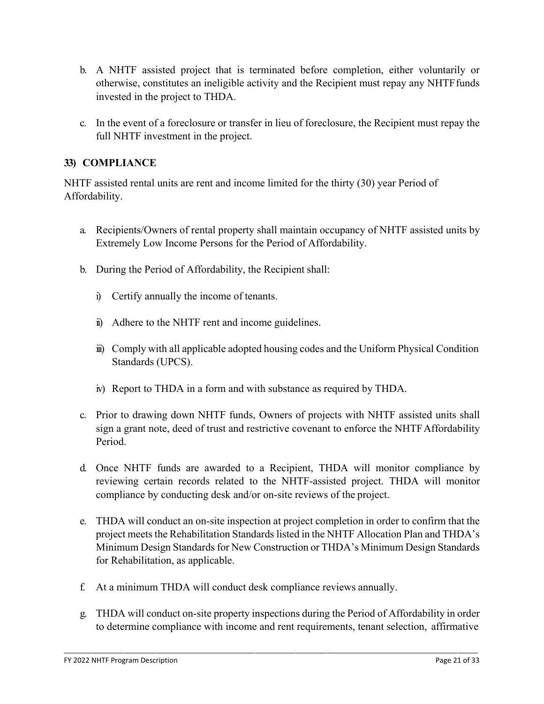- b. A NHTF assisted project that is terminated before completion, either voluntarily or otherwise, constitutes an ineligible activity and the Recipient must repay any NHTF funds invested in the project to THDA.
- c. In the event of a foreclosure or transfer in lieu of foreclosure, the Recipient must repay the full NHTF investment in the project.

#### **33) COMPLIANCE**

NHTF assisted rental units are rent and income limited for the thirty (30) year Period of Affordability.

- a. Recipients/Owners of rental property shall maintain occupancy of NHTF assisted units by Extremely Low Income Persons for the Period of Affordability.
- b. During the Period of Affordability, the Recipient shall:
	- i) Certify annually the income of tenants.
	- ii) Adhere to the NHTF rent and income guidelines.
	- iii) Comply with all applicable adopted housing codes and the Uniform Physical Condition Standards (UPCS).
	- iv) Report to THDA in a form and with substance as required by THDA.
- c. Prior to drawing down NHTF funds, Owners of projects with NHTF assisted units shall sign a grant note, deed of trust and restrictive covenant to enforce the NHTFAffordability Period.
- d. Once NHTF funds are awarded to a Recipient, THDA will monitor compliance by reviewing certain records related to the NHTF-assisted project. THDA will monitor compliance by conducting desk and/or on-site reviews of the project.
- e. THDA will conduct an on-site inspection at project completion in order to confirm that the project meets the Rehabilitation Standards listed in the NHTF Allocation Plan and THDA's Minimum Design Standards for New Construction or THDA's Minimum Design Standards for Rehabilitation, as applicable.
- f. At a minimum THDA will conduct desk compliance reviews annually.
- g. THDA will conduct on-site property inspections during the Period of Affordability in order to determine compliance with income and rent requirements, tenant selection, affirmative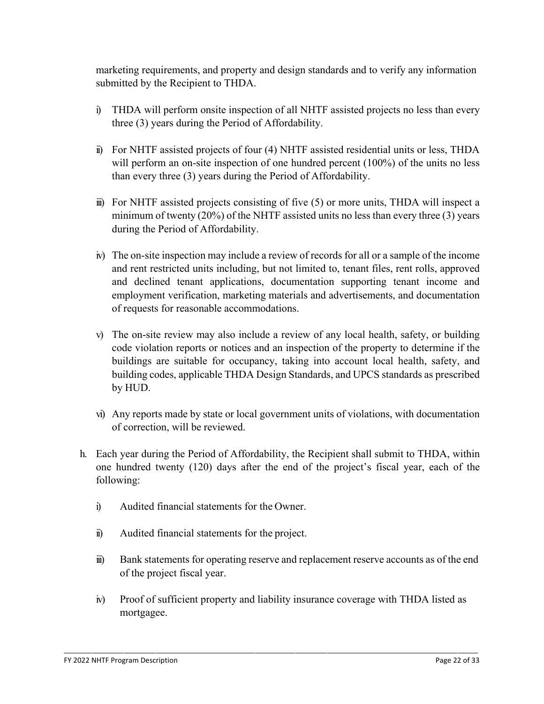marketing requirements, and property and design standards and to verify any information submitted by the Recipient to THDA.

- i) THDA will perform onsite inspection of all NHTF assisted projects no less than every three (3) years during the Period of Affordability.
- ii) For NHTF assisted projects of four (4) NHTF assisted residential units or less, THDA will perform an on-site inspection of one hundred percent (100%) of the units no less than every three (3) years during the Period of Affordability.
- iii) For NHTF assisted projects consisting of five (5) or more units, THDA will inspect a minimum of twenty (20%) of the NHTF assisted units no less than every three (3) years during the Period of Affordability.
- iv) The on-site inspection may include a review of records for all or a sample of the income and rent restricted units including, but not limited to, tenant files, rent rolls, approved and declined tenant applications, documentation supporting tenant income and employment verification, marketing materials and advertisements, and documentation of requests for reasonable accommodations.
- v) The on-site review may also include a review of any local health, safety, or building code violation reports or notices and an inspection of the property to determine if the buildings are suitable for occupancy, taking into account local health, safety, and building codes, applicable THDA Design Standards, and UPCS standards as prescribed by HUD.
- vi) Any reports made by state or local government units of violations, with documentation of correction, will be reviewed.
- h. Each year during the Period of Affordability, the Recipient shall submit to THDA, within one hundred twenty (120) days after the end of the project's fiscal year, each of the following:
	- i) Audited financial statements for the Owner.
	- ii) Audited financial statements for the project.
	- iii) Bank statements for operating reserve and replacement reserve accounts as of the end of the project fiscal year.
	- iv) Proof of sufficient property and liability insurance coverage with THDA listed as mortgagee.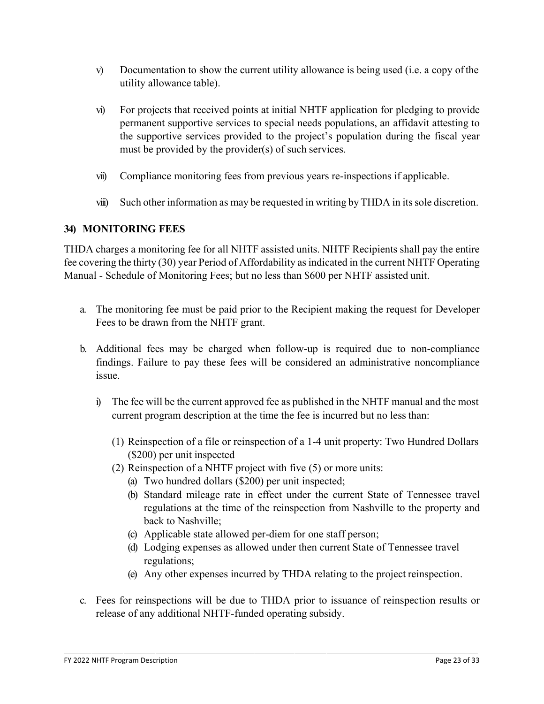- $v$ ) Documentation to show the current utility allowance is being used (i.e. a copy of the utility allowance table).
- vi) For projects that received points at initial NHTF application for pledging to provide permanent supportive services to special needs populations, an affidavit attesting to the supportive services provided to the project's population during the fiscal year must be provided by the provider(s) of such services.
- vii) Compliance monitoring fees from previous years re-inspections if applicable.
- viii) Such other information as may be requested in writing by THDA in its sole discretion.

#### **34) MONITORING FEES**

THDA charges a monitoring fee for all NHTF assisted units. NHTF Recipients shall pay the entire fee covering the thirty (30) year Period of Affordability as indicated in the current NHTF Operating Manual - Schedule of Monitoring Fees; but no less than \$600 per NHTF assisted unit.

- a. The monitoring fee must be paid prior to the Recipient making the request for Developer Fees to be drawn from the NHTF grant.
- b. Additional fees may be charged when follow-up is required due to non-compliance findings. Failure to pay these fees will be considered an administrative noncompliance issue.
	- i) The fee will be the current approved fee as published in the NHTF manual and the most current program description at the time the fee is incurred but no less than:
		- (1) Reinspection of a file or reinspection of a 1-4 unit property: Two Hundred Dollars (\$200) per unit inspected
		- (2) Reinspection of a NHTF project with five (5) or more units:
			- (a) Two hundred dollars (\$200) per unit inspected;
			- (b) Standard mileage rate in effect under the current State of Tennessee travel regulations at the time of the reinspection from Nashville to the property and back to Nashville;
			- (c) Applicable state allowed per-diem for one staff person;
			- (d) Lodging expenses as allowed under then current State of Tennessee travel regulations;
			- (e) Any other expenses incurred by THDA relating to the project reinspection.
- c. Fees for reinspections will be due to THDA prior to issuance of reinspection results or release of any additional NHTF-funded operating subsidy.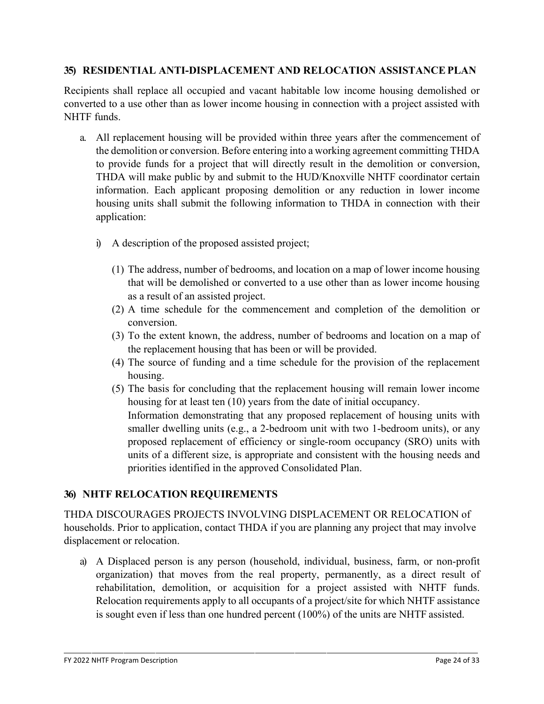#### **35) RESIDENTIAL ANTI-DISPLACEMENT AND RELOCATION ASSISTANCE PLAN**

Recipients shall replace all occupied and vacant habitable low income housing demolished or converted to a use other than as lower income housing in connection with a project assisted with NHTF funds.

- a. All replacement housing will be provided within three years after the commencement of the demolition or conversion. Before entering into a working agreement committing THDA to provide funds for a project that will directly result in the demolition or conversion, THDA will make public by and submit to the HUD/Knoxville NHTF coordinator certain information. Each applicant proposing demolition or any reduction in lower income housing units shall submit the following information to THDA in connection with their application:
	- i) A description of the proposed assisted project;
		- (1) The address, number of bedrooms, and location on a map of lower income housing that will be demolished or converted to a use other than as lower income housing as a result of an assisted project.
		- (2) A time schedule for the commencement and completion of the demolition or conversion.
		- (3) To the extent known, the address, number of bedrooms and location on a map of the replacement housing that has been or will be provided.
		- (4) The source of funding and a time schedule for the provision of the replacement housing.
		- (5) The basis for concluding that the replacement housing will remain lower income housing for at least ten (10) years from the date of initial occupancy.

Information demonstrating that any proposed replacement of housing units with smaller dwelling units (e.g., a 2-bedroom unit with two 1-bedroom units), or any proposed replacement of efficiency or single-room occupancy (SRO) units with units of a different size, is appropriate and consistent with the housing needs and priorities identified in the approved Consolidated Plan.

## **36) NHTF RELOCATION REQUIREMENTS**

THDA DISCOURAGES PROJECTS INVOLVING DISPLACEMENT OR RELOCATION of households. Prior to application, contact THDA if you are planning any project that may involve displacement or relocation.

a) A Displaced person is any person (household, individual, business, farm, or non-profit organization) that moves from the real property, permanently, as a direct result of rehabilitation, demolition, or acquisition for a project assisted with NHTF funds. Relocation requirements apply to all occupants of a project/site for which NHTF assistance is sought even if less than one hundred percent (100%) of the units are NHTF assisted.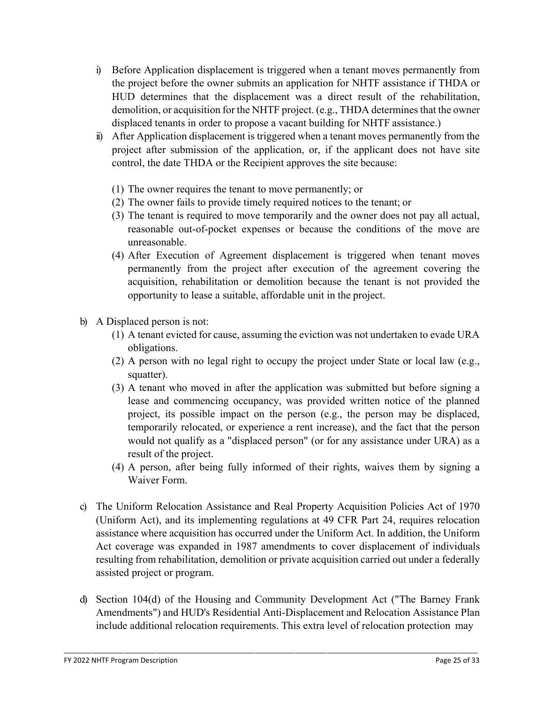- i) Before Application displacement is triggered when a tenant moves permanently from the project before the owner submits an application for NHTF assistance if THDA or HUD determines that the displacement was a direct result of the rehabilitation, demolition, or acquisition for the NHTF project. (e.g., THDA determines that the owner displaced tenants in order to propose a vacant building for NHTF assistance.)
- ii) After Application displacement is triggered when a tenant moves permanently from the project after submission of the application, or, if the applicant does not have site control, the date THDA or the Recipient approves the site because:
	- (1) The owner requires the tenant to move permanently; or
	- (2) The owner fails to provide timely required notices to the tenant; or
	- (3) The tenant is required to move temporarily and the owner does not pay all actual, reasonable out-of-pocket expenses or because the conditions of the move are unreasonable.
	- (4) After Execution of Agreement displacement is triggered when tenant moves permanently from the project after execution of the agreement covering the acquisition, rehabilitation or demolition because the tenant is not provided the opportunity to lease a suitable, affordable unit in the project.
- b) A Displaced person is not:
	- (1) A tenant evicted for cause, assuming the eviction was not undertaken to evade URA obligations.
	- (2) A person with no legal right to occupy the project under State or local law (e.g., squatter).
	- (3) A tenant who moved in after the application was submitted but before signing a lease and commencing occupancy, was provided written notice of the planned project, its possible impact on the person (e.g., the person may be displaced, temporarily relocated, or experience a rent increase), and the fact that the person would not qualify as a "displaced person" (or for any assistance under URA) as a result of the project.
	- (4) A person, after being fully informed of their rights, waives them by signing a Waiver Form.
- c) The Uniform Relocation Assistance and Real Property Acquisition Policies Act of 1970 (Uniform Act), and its implementing regulations at 49 CFR Part 24, requires relocation assistance where acquisition has occurred under the Uniform Act. In addition, the Uniform Act coverage was expanded in 1987 amendments to cover displacement of individuals resulting from rehabilitation, demolition or private acquisition carried out under a federally assisted project or program.
- d) Section 104(d) of the Housing and Community Development Act ("The Barney Frank Amendments") and HUD's Residential Anti-Displacement and Relocation Assistance Plan include additional relocation requirements. This extra level of relocation protection may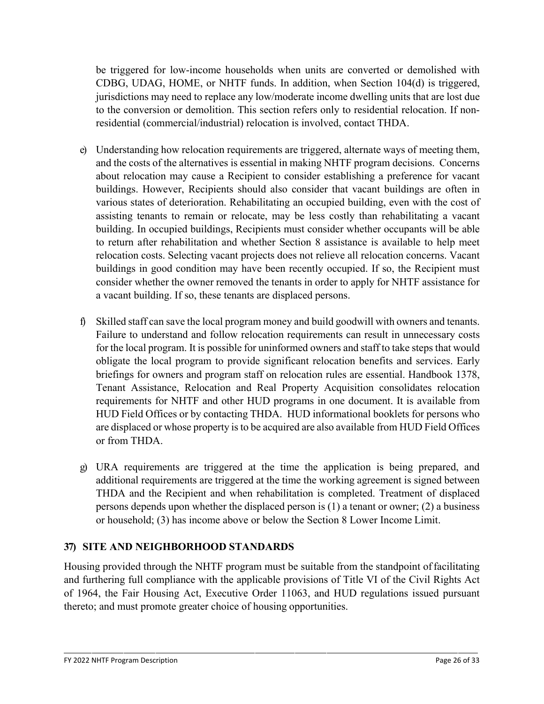be triggered for low-income households when units are converted or demolished with CDBG, UDAG, HOME, or NHTF funds. In addition, when Section 104(d) is triggered, jurisdictions may need to replace any low/moderate income dwelling units that are lost due to the conversion or demolition. This section refers only to residential relocation. If nonresidential (commercial/industrial) relocation is involved, contact THDA.

- e) Understanding how relocation requirements are triggered, alternate ways of meeting them, and the costs of the alternatives is essential in making NHTF program decisions. Concerns about relocation may cause a Recipient to consider establishing a preference for vacant buildings. However, Recipients should also consider that vacant buildings are often in various states of deterioration. Rehabilitating an occupied building, even with the cost of assisting tenants to remain or relocate, may be less costly than rehabilitating a vacant building. In occupied buildings, Recipients must consider whether occupants will be able to return after rehabilitation and whether Section 8 assistance is available to help meet relocation costs. Selecting vacant projects does not relieve all relocation concerns. Vacant buildings in good condition may have been recently occupied. If so, the Recipient must consider whether the owner removed the tenants in order to apply for NHTF assistance for a vacant building. If so, these tenants are displaced persons.
- f) Skilled staff can save the local program money and build goodwill with owners and tenants. Failure to understand and follow relocation requirements can result in unnecessary costs for the local program. It is possible for uninformed owners and staff to take steps that would obligate the local program to provide significant relocation benefits and services. Early briefings for owners and program staff on relocation rules are essential. Handbook 1378, Tenant Assistance, Relocation and Real Property Acquisition consolidates relocation requirements for NHTF and other HUD programs in one document. It is available from HUD Field Offices or by contacting THDA. HUD informational booklets for persons who are displaced or whose property isto be acquired are also available from HUD Field Offices or from THDA.
- g) URA requirements are triggered at the time the application is being prepared, and additional requirements are triggered at the time the working agreement is signed between THDA and the Recipient and when rehabilitation is completed. Treatment of displaced persons depends upon whether the displaced person is (1) a tenant or owner; (2) a business or household; (3) has income above or below the Section 8 Lower Income Limit.

## **37) SITE AND NEIGHBORHOOD STANDARDS**

Housing provided through the NHTF program must be suitable from the standpoint offacilitating and furthering full compliance with the applicable provisions of Title VI of the Civil Rights Act of 1964, the Fair Housing Act, Executive Order 11063, and HUD regulations issued pursuant thereto; and must promote greater choice of housing opportunities.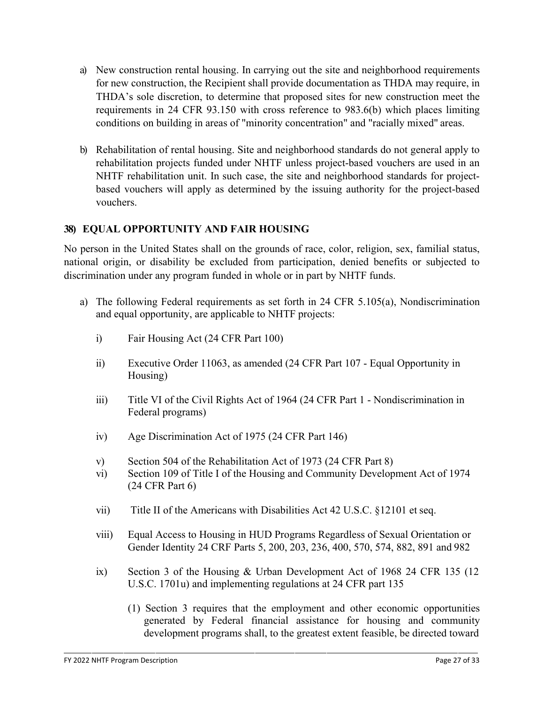- a) New construction rental housing. In carrying out the site and neighborhood requirements for new construction, the Recipient shall provide documentation as THDA may require, in THDA's sole discretion, to determine that proposed sites for new construction meet the requirements in 24 CFR 93.150 with cross reference to 983.6(b) which places limiting conditions on building in areas of "minority concentration" and "racially mixed" areas.
- b) Rehabilitation of rental housing. Site and neighborhood standards do not general apply to rehabilitation projects funded under NHTF unless project-based vouchers are used in an NHTF rehabilitation unit. In such case, the site and neighborhood standards for projectbased vouchers will apply as determined by the issuing authority for the project-based vouchers.

#### **38) EQUAL OPPORTUNITY AND FAIR HOUSING**

No person in the United States shall on the grounds of race, color, religion, sex, familial status, national origin, or disability be excluded from participation, denied benefits or subjected to discrimination under any program funded in whole or in part by NHTF funds.

- a) The following Federal requirements as set forth in 24 CFR 5.105(a), Nondiscrimination and equal opportunity, are applicable to NHTF projects:
	- i) Fair Housing Act (24 CFR Part 100)
	- ii) Executive Order 11063, as amended (24 CFR Part 107 Equal Opportunity in Housing)
	- iii) Title VI of the Civil Rights Act of 1964 (24 CFR Part 1 Nondiscrimination in Federal programs)
	- iv) Age Discrimination Act of 1975 (24 CFR Part 146)
	- v) Section 504 of the Rehabilitation Act of 1973 (24 CFR Part 8)
	- vi) Section 109 of Title I of the Housing and Community Development Act of 1974 (24 CFR Part 6)
	- vii) Title II of the Americans with Disabilities Act 42 U.S.C. §12101 et seq.
	- viii) Equal Access to Housing in HUD Programs Regardless of Sexual Orientation or Gender Identity 24 CRF Parts 5, 200, 203, 236, 400, 570, 574, 882, 891 and 982
	- ix) Section 3 of the Housing & Urban Development Act of 1968 24 CFR 135 (12 U.S.C. 1701u) and implementing regulations at 24 CFR part 135
		- (1) Section 3 requires that the employment and other economic opportunities generated by Federal financial assistance for housing and community development programs shall, to the greatest extent feasible, be directed toward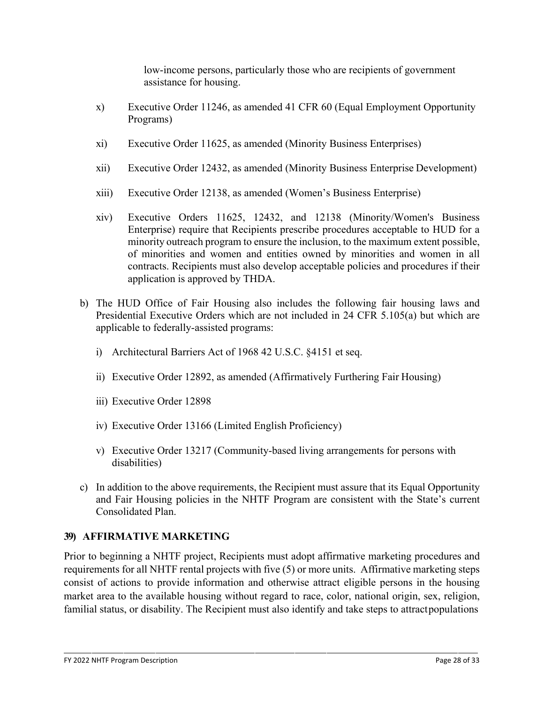low-income persons, particularly those who are recipients of government assistance for housing.

- x) Executive Order 11246, as amended 41 CFR 60 (Equal Employment Opportunity Programs)
- xi) Executive Order 11625, as amended (Minority Business Enterprises)
- xii) Executive Order 12432, as amended (Minority Business Enterprise Development)
- xiii) Executive Order 12138, as amended (Women's Business Enterprise)
- xiv) Executive Orders 11625, 12432, and 12138 (Minority/Women's Business Enterprise) require that Recipients prescribe procedures acceptable to HUD for a minority outreach program to ensure the inclusion, to the maximum extent possible, of minorities and women and entities owned by minorities and women in all contracts. Recipients must also develop acceptable policies and procedures if their application is approved by THDA.
- b) The HUD Office of Fair Housing also includes the following fair housing laws and Presidential Executive Orders which are not included in 24 CFR 5.105(a) but which are applicable to federally-assisted programs:
	- i) Architectural Barriers Act of 1968 42 U.S.C. §4151 et seq.
	- ii) Executive Order 12892, as amended (Affirmatively Furthering Fair Housing)
	- iii) Executive Order 12898
	- iv) Executive Order 13166 (Limited English Proficiency)
	- v) Executive Order 13217 (Community-based living arrangements for persons with disabilities)
- c) In addition to the above requirements, the Recipient must assure that its Equal Opportunity and Fair Housing policies in the NHTF Program are consistent with the State's current Consolidated Plan.

## **39) AFFIRMATIVE MARKETING**

Prior to beginning a NHTF project, Recipients must adopt affirmative marketing procedures and requirements for all NHTF rental projects with five (5) or more units. Affirmative marketing steps consist of actions to provide information and otherwise attract eligible persons in the housing market area to the available housing without regard to race, color, national origin, sex, religion, familial status, or disability. The Recipient must also identify and take steps to attract populations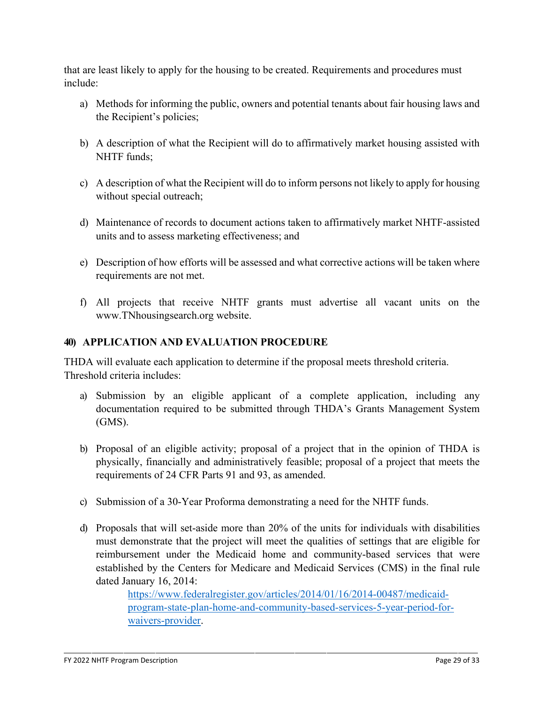that are least likely to apply for the housing to be created. Requirements and procedures must include:

- a) Methods for informing the public, owners and potential tenants about fair housing laws and the Recipient's policies;
- b) A description of what the Recipient will do to affirmatively market housing assisted with NHTF funds;
- c) A description of what the Recipient will do to inform persons not likely to apply for housing without special outreach;
- d) Maintenance of records to document actions taken to affirmatively market NHTF-assisted units and to assess marketing effectiveness; and
- e) Description of how efforts will be assessed and what corrective actions will be taken where requirements are not met.
- f) All projects that receive NHTF grants must advertise all vacant units on the [www.TNhousingsearch.org](http://www.tnhousingsearch.org/) website.

## **40) APPLICATION AND EVALUATION PROCEDURE**

THDA will evaluate each application to determine if the proposal meets threshold criteria. Threshold criteria includes:

- a) Submission by an eligible applicant of a complete application, including any documentation required to be submitted through THDA's Grants Management System (GMS).
- b) Proposal of an eligible activity; proposal of a project that in the opinion of THDA is physically, financially and administratively feasible; proposal of a project that meets the requirements of 24 CFR Parts 91 and 93, as amended.
- c) Submission of a 30-Year Proforma demonstrating a need for the NHTF funds.
- d) Proposals that will set-aside more than 20% of the units for individuals with disabilities must demonstrate that the project will meet the qualities of settings that are eligible for reimbursement under the Medicaid home and community-based services that were established by the Centers for Medicare and Medicaid Services (CMS) in the final rule dated January 16, 2014:

[https://www.federalregister.gov/articles/2014/01/16/2014-00487/medicaid](https://www.federalregister.gov/articles/2014/01/16/2014-00487/medicaid-program-state-plan-home-and-community-based-services-5-year-period-for-waivers-provider)[program-state-plan-home-and-community-based-services-5-year-period-for](https://www.federalregister.gov/articles/2014/01/16/2014-00487/medicaid-program-state-plan-home-and-community-based-services-5-year-period-for-waivers-provider)[waivers-provider.](https://www.federalregister.gov/articles/2014/01/16/2014-00487/medicaid-program-state-plan-home-and-community-based-services-5-year-period-for-waivers-provider)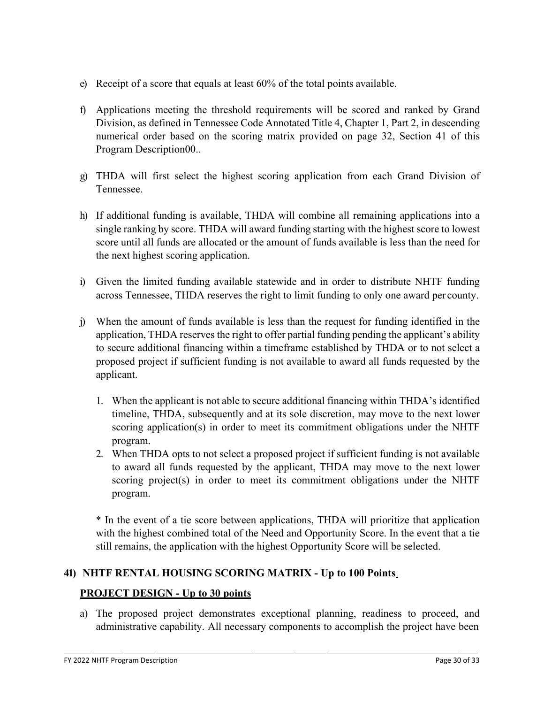- e) Receipt of a score that equals at least 60% of the total points available.
- f) Applications meeting the threshold requirements will be scored and ranked by Grand Division, as defined in Tennessee Code Annotated Title 4, Chapter 1, Part 2, in descending numerical order based on the scoring matrix provided on page 32, Section 41 of this Program Description00..
- g) THDA will first select the highest scoring application from each Grand Division of Tennessee.
- h) If additional funding is available, THDA will combine all remaining applications into a single ranking by score. THDA will award funding starting with the highest score to lowest score until all funds are allocated or the amount of funds available is less than the need for the next highest scoring application.
- i) Given the limited funding available statewide and in order to distribute NHTF funding across Tennessee, THDA reserves the right to limit funding to only one award per county.
- j) When the amount of funds available is less than the request for funding identified in the application, THDA reserves the right to offer partial funding pending the applicant's ability to secure additional financing within a timeframe established by THDA or to not select a proposed project if sufficient funding is not available to award all funds requested by the applicant.
	- 1. When the applicant is not able to secure additional financing within THDA's identified timeline, THDA, subsequently and at its sole discretion, may move to the next lower scoring application(s) in order to meet its commitment obligations under the NHTF program.
	- 2. When THDA opts to not select a proposed project if sufficient funding is not available to award all funds requested by the applicant, THDA may move to the next lower scoring project(s) in order to meet its commitment obligations under the NHTF program.

\* In the event of a tie score between applications, THDA will prioritize that application with the highest combined total of the Need and Opportunity Score. In the event that a tie still remains, the application with the highest Opportunity Score will be selected.

## **41) NHTF RENTAL HOUSING SCORING MATRIX - Up to 100 Points**

#### **PROJECT DESIGN - Up to 30 points**

a) The proposed project demonstrates exceptional planning, readiness to proceed, and administrative capability. All necessary components to accomplish the project have been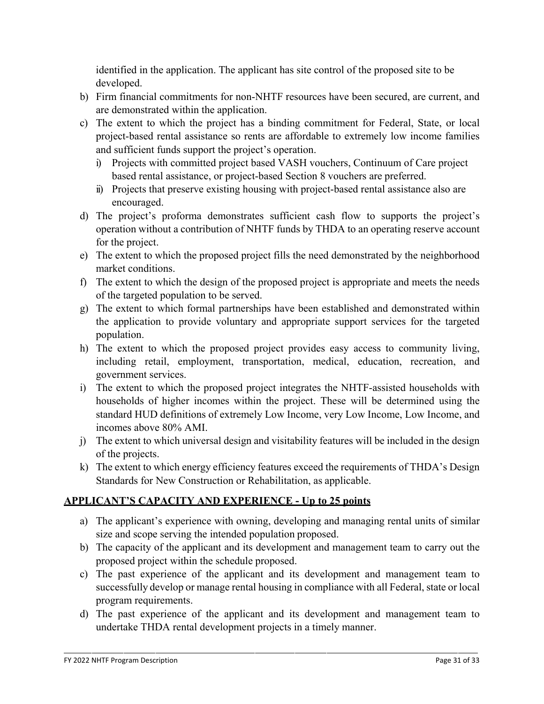identified in the application. The applicant has site control of the proposed site to be developed.

- b) Firm financial commitments for non-NHTF resources have been secured, are current, and are demonstrated within the application.
- c) The extent to which the project has a binding commitment for Federal, State, or local project-based rental assistance so rents are affordable to extremely low income families and sufficient funds support the project's operation.
	- i) Projects with committed project based VASH vouchers, Continuum of Care project based rental assistance, or project-based Section 8 vouchers are preferred.
	- ii) Projects that preserve existing housing with project-based rental assistance also are encouraged.
- d) The project's proforma demonstrates sufficient cash flow to supports the project's operation without a contribution of NHTF funds by THDA to an operating reserve account for the project.
- e) The extent to which the proposed project fills the need demonstrated by the neighborhood market conditions.
- f) The extent to which the design of the proposed project is appropriate and meets the needs of the targeted population to be served.
- g) The extent to which formal partnerships have been established and demonstrated within the application to provide voluntary and appropriate support services for the targeted population.
- h) The extent to which the proposed project provides easy access to community living, including retail, employment, transportation, medical, education, recreation, and government services.
- i) The extent to which the proposed project integrates the NHTF-assisted households with households of higher incomes within the project. These will be determined using the standard HUD definitions of extremely Low Income, very Low Income, Low Income, and incomes above 80% AMI.
- j) The extent to which universal design and visitability features will be included in the design of the projects.
- k) The extent to which energy efficiency features exceed the requirements of THDA's Design Standards for New Construction or Rehabilitation, as applicable.

# **APPLICANT'S CAPACITY AND EXPERIENCE - Up to 25 points**

- a) The applicant's experience with owning, developing and managing rental units of similar size and scope serving the intended population proposed.
- b) The capacity of the applicant and its development and management team to carry out the proposed project within the schedule proposed.
- c) The past experience of the applicant and its development and management team to successfully develop or manage rental housing in compliance with all Federal, state or local program requirements.
- d) The past experience of the applicant and its development and management team to undertake THDA rental development projects in a timely manner.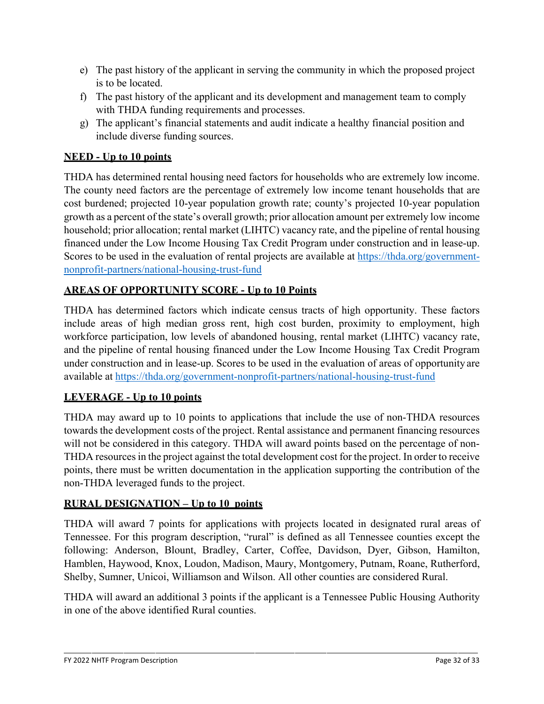- e) The past history of the applicant in serving the community in which the proposed project is to be located.
- f) The past history of the applicant and its development and management team to comply with THDA funding requirements and processes.
- g) The applicant's financial statements and audit indicate a healthy financial position and include diverse funding sources.

# **NEED - Up to 10 points**

THDA has determined rental housing need factors for households who are extremely low income. The county need factors are the percentage of extremely low income tenant households that are cost burdened; projected 10-year population growth rate; county's projected 10-year population growth as a percent of the state's overall growth; prior allocation amount per extremely low income household; prior allocation; rental market (LIHTC) vacancy rate, and the pipeline of rental housing financed under the Low Income Housing Tax Credit Program under construction and in lease-up. Scores to be used in the evaluation of rental projects are available at [https://thda.org/government](https://thda.org/government-nonprofit-partners/national-housing-trust-fund)[nonprofit-partners/national-housing-trust-fund](https://thda.org/government-nonprofit-partners/national-housing-trust-fund)

## **AREAS OF OPPORTUNITY SCORE - Up to 10 Points**

THDA has determined factors which indicate census tracts of high opportunity. These factors include areas of high median gross rent, high cost burden, proximity to employment, high workforce participation, low levels of abandoned housing, rental market (LIHTC) vacancy rate, and the pipeline of rental housing financed under the Low Income Housing Tax Credit Program under construction and in lease-up. Scores to be used in the evaluation of areas of opportunity are available at <https://thda.org/government-nonprofit-partners/national-housing-trust-fund>

## **LEVERAGE - Up to 10 points**

THDA may award up to 10 points to applications that include the use of non-THDA resources towards the development costs of the project. Rental assistance and permanent financing resources will not be considered in this category. THDA will award points based on the percentage of non-THDA resources in the project against the total development cost for the project. In order to receive points, there must be written documentation in the application supporting the contribution of the non-THDA leveraged funds to the project.

#### **RURAL DESIGNATION – Up to 10 points**

THDA will award 7 points for applications with projects located in designated rural areas of Tennessee. For this program description, "rural" is defined as all Tennessee counties except the following: Anderson, Blount, Bradley, Carter, Coffee, Davidson, Dyer, Gibson, Hamilton, Hamblen, Haywood, Knox, Loudon, Madison, Maury, Montgomery, Putnam, Roane, Rutherford, Shelby, Sumner, Unicoi, Williamson and Wilson. All other counties are considered Rural.

THDA will award an additional 3 points if the applicant is a Tennessee Public Housing Authority in one of the above identified Rural counties.